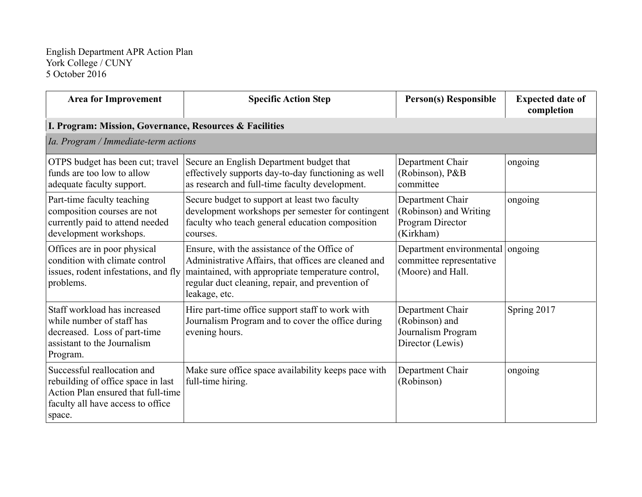| <b>Area for Improvement</b>                                                                                                                            | <b>Specific Action Step</b>                                                                                                                                                                                                    | <b>Person(s) Responsible</b>                                                 | <b>Expected date of</b><br>completion |
|--------------------------------------------------------------------------------------------------------------------------------------------------------|--------------------------------------------------------------------------------------------------------------------------------------------------------------------------------------------------------------------------------|------------------------------------------------------------------------------|---------------------------------------|
| I. Program: Mission, Governance, Resources & Facilities                                                                                                |                                                                                                                                                                                                                                |                                                                              |                                       |
| Ia. Program / Immediate-term actions                                                                                                                   |                                                                                                                                                                                                                                |                                                                              |                                       |
| OTPS budget has been cut; travel<br>funds are too low to allow<br>adequate faculty support.                                                            | Secure an English Department budget that<br>effectively supports day-to-day functioning as well<br>as research and full-time faculty development.                                                                              | Department Chair<br>(Robinson), P&B<br>committee                             | ongoing                               |
| Part-time faculty teaching<br>composition courses are not<br>currently paid to attend needed<br>development workshops.                                 | Secure budget to support at least two faculty<br>development workshops per semester for contingent<br>faculty who teach general education composition<br>courses.                                                              | Department Chair<br>(Robinson) and Writing<br>Program Director<br>(Kirkham)  | ongoing                               |
| Offices are in poor physical<br>condition with climate control<br>issues, rodent infestations, and fly<br>problems.                                    | Ensure, with the assistance of the Office of<br>Administrative Affairs, that offices are cleaned and<br>maintained, with appropriate temperature control,<br>regular duct cleaning, repair, and prevention of<br>leakage, etc. | Department environmental<br>committee representative<br>(Moore) and Hall.    | ongoing                               |
| Staff workload has increased<br>while number of staff has<br>decreased. Loss of part-time<br>assistant to the Journalism<br>Program.                   | Hire part-time office support staff to work with<br>Journalism Program and to cover the office during<br>evening hours.                                                                                                        | Department Chair<br>(Robinson) and<br>Journalism Program<br>Director (Lewis) | Spring 2017                           |
| Successful reallocation and<br>rebuilding of office space in last<br>Action Plan ensured that full-time<br>faculty all have access to office<br>space. | Make sure office space availability keeps pace with<br>full-time hiring.                                                                                                                                                       | Department Chair<br>(Robinson)                                               | ongoing                               |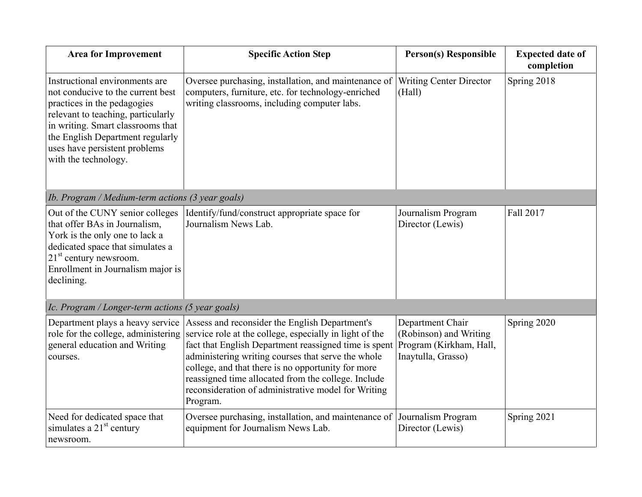| <b>Area for Improvement</b>                                                                                                                                                                                                                                                | <b>Specific Action Step</b>                                                                                                                                                                                                                                                                                                                                                                              | <b>Person(s) Responsible</b>                                                                | <b>Expected date of</b><br>completion |
|----------------------------------------------------------------------------------------------------------------------------------------------------------------------------------------------------------------------------------------------------------------------------|----------------------------------------------------------------------------------------------------------------------------------------------------------------------------------------------------------------------------------------------------------------------------------------------------------------------------------------------------------------------------------------------------------|---------------------------------------------------------------------------------------------|---------------------------------------|
| Instructional environments are<br>not conducive to the current best<br>practices in the pedagogies<br>relevant to teaching, particularly<br>in writing. Smart classrooms that<br>the English Department regularly<br>uses have persistent problems<br>with the technology. | Oversee purchasing, installation, and maintenance of<br>computers, furniture, etc. for technology-enriched<br>writing classrooms, including computer labs.                                                                                                                                                                                                                                               | <b>Writing Center Director</b><br>(Hall)                                                    | Spring 2018                           |
| Ib. Program / Medium-term actions (3 year goals)                                                                                                                                                                                                                           |                                                                                                                                                                                                                                                                                                                                                                                                          |                                                                                             |                                       |
| Out of the CUNY senior colleges<br>that offer BAs in Journalism,<br>York is the only one to lack a<br>dedicated space that simulates a<br>$21st$ century newsroom.<br>Enrollment in Journalism major is<br>declining.                                                      | Identify/fund/construct appropriate space for<br>Journalism News Lab.                                                                                                                                                                                                                                                                                                                                    | Journalism Program<br>Director (Lewis)                                                      | Fall 2017                             |
| Ic. Program / Longer-term actions (5 year goals)                                                                                                                                                                                                                           |                                                                                                                                                                                                                                                                                                                                                                                                          |                                                                                             |                                       |
| Department plays a heavy service<br>role for the college, administering<br>general education and Writing<br>courses.                                                                                                                                                       | Assess and reconsider the English Department's<br>service role at the college, especially in light of the<br>fact that English Department reassigned time is spent<br>administering writing courses that serve the whole<br>college, and that there is no opportunity for more<br>reassigned time allocated from the college. Include<br>reconsideration of administrative model for Writing<br>Program. | Department Chair<br>(Robinson) and Writing<br>Program (Kirkham, Hall,<br>Inaytulla, Grasso) | Spring 2020                           |
| Need for dedicated space that<br>simulates a $21st$ century<br>newsroom.                                                                                                                                                                                                   | Oversee purchasing, installation, and maintenance of Journalism Program<br>equipment for Journalism News Lab.                                                                                                                                                                                                                                                                                            | Director (Lewis)                                                                            | Spring 2021                           |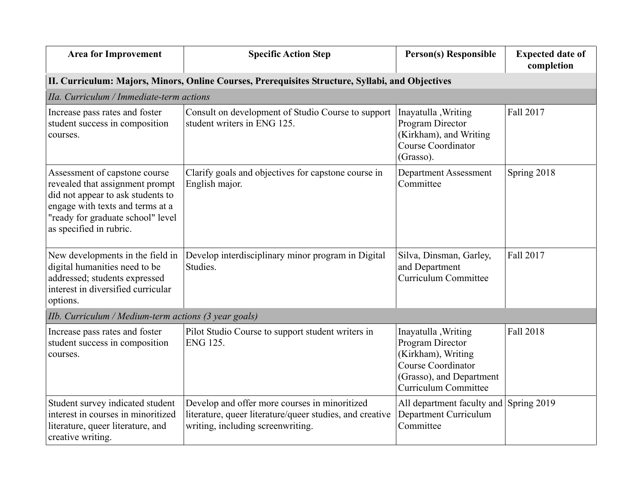| <b>Area for Improvement</b>                                                                                                                                                                               | <b>Specific Action Step</b>                                                                                                                    | <b>Person(s) Responsible</b>                                                                                                                          | <b>Expected date of</b><br>completion |
|-----------------------------------------------------------------------------------------------------------------------------------------------------------------------------------------------------------|------------------------------------------------------------------------------------------------------------------------------------------------|-------------------------------------------------------------------------------------------------------------------------------------------------------|---------------------------------------|
|                                                                                                                                                                                                           | II. Curriculum: Majors, Minors, Online Courses, Prerequisites Structure, Syllabi, and Objectives                                               |                                                                                                                                                       |                                       |
| IIa. Curriculum / Immediate-term actions                                                                                                                                                                  |                                                                                                                                                |                                                                                                                                                       |                                       |
| Increase pass rates and foster<br>student success in composition<br>courses.                                                                                                                              | Consult on development of Studio Course to support<br>student writers in ENG 125.                                                              | Inayatulla, Writing<br>Program Director<br>(Kirkham), and Writing<br><b>Course Coordinator</b><br>(Grasso).                                           | Fall 2017                             |
| Assessment of capstone course<br>revealed that assignment prompt<br>did not appear to ask students to<br>engage with texts and terms at a<br>"ready for graduate school" level<br>as specified in rubric. | Clarify goals and objectives for capstone course in<br>English major.                                                                          | <b>Department Assessment</b><br>Committee                                                                                                             | Spring 2018                           |
| New developments in the field in<br>digital humanities need to be<br>addressed; students expressed<br>interest in diversified curricular<br>options.                                                      | Develop interdisciplinary minor program in Digital<br>Studies.                                                                                 | Silva, Dinsman, Garley,<br>and Department<br><b>Curriculum Committee</b>                                                                              | Fall 2017                             |
| IIb. Curriculum / Medium-term actions (3 year goals)                                                                                                                                                      |                                                                                                                                                |                                                                                                                                                       |                                       |
| Increase pass rates and foster<br>student success in composition<br>courses.                                                                                                                              | Pilot Studio Course to support student writers in<br>ENG 125.                                                                                  | Inayatulla, Writing<br>Program Director<br>(Kirkham), Writing<br><b>Course Coordinator</b><br>(Grasso), and Department<br><b>Curriculum Committee</b> | Fall 2018                             |
| Student survey indicated student<br>interest in courses in minoritized<br>literature, queer literature, and<br>creative writing.                                                                          | Develop and offer more courses in minoritized<br>literature, queer literature/queer studies, and creative<br>writing, including screenwriting. | All department faculty and<br><b>Department Curriculum</b><br>Committee                                                                               | Spring 2019                           |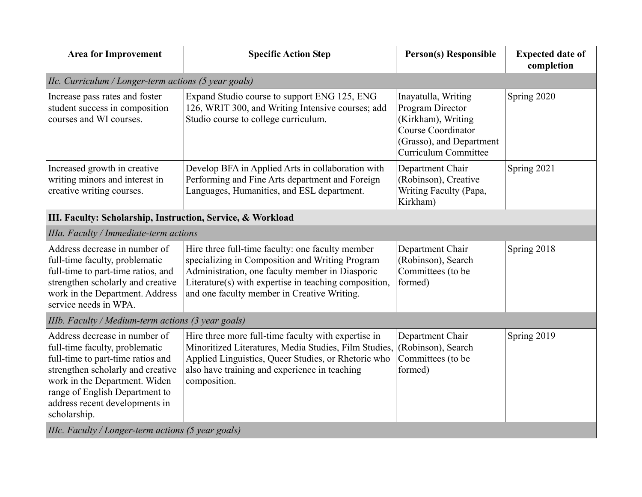| <b>Area for Improvement</b>                                                                                                                                                                                                                                    | <b>Specific Action Step</b>                                                                                                                                                                                                                                    | <b>Person(s) Responsible</b>                                                                                                                   | <b>Expected date of</b><br>completion |
|----------------------------------------------------------------------------------------------------------------------------------------------------------------------------------------------------------------------------------------------------------------|----------------------------------------------------------------------------------------------------------------------------------------------------------------------------------------------------------------------------------------------------------------|------------------------------------------------------------------------------------------------------------------------------------------------|---------------------------------------|
| IIc. Curriculum / Longer-term actions (5 year goals)                                                                                                                                                                                                           |                                                                                                                                                                                                                                                                |                                                                                                                                                |                                       |
| Increase pass rates and foster<br>student success in composition<br>courses and WI courses.                                                                                                                                                                    | Expand Studio course to support ENG 125, ENG<br>126, WRIT 300, and Writing Intensive courses; add<br>Studio course to college curriculum.                                                                                                                      | Inayatulla, Writing<br>Program Director<br>(Kirkham), Writing<br><b>Course Coordinator</b><br>(Grasso), and Department<br>Curriculum Committee | Spring 2020                           |
| Increased growth in creative<br>writing minors and interest in<br>creative writing courses.                                                                                                                                                                    | Develop BFA in Applied Arts in collaboration with<br>Performing and Fine Arts department and Foreign<br>Languages, Humanities, and ESL department.                                                                                                             | Department Chair<br>(Robinson), Creative<br>Writing Faculty (Papa,<br>Kirkham)                                                                 | Spring 2021                           |
| III. Faculty: Scholarship, Instruction, Service, & Workload                                                                                                                                                                                                    |                                                                                                                                                                                                                                                                |                                                                                                                                                |                                       |
| IIIa. Faculty / Immediate-term actions                                                                                                                                                                                                                         |                                                                                                                                                                                                                                                                |                                                                                                                                                |                                       |
| Address decrease in number of<br>full-time faculty, problematic<br>full-time to part-time ratios, and<br>strengthen scholarly and creative<br>work in the Department. Address<br>service needs in WPA.                                                         | Hire three full-time faculty: one faculty member<br>specializing in Composition and Writing Program<br>Administration, one faculty member in Diasporic<br>Literature(s) with expertise in teaching composition,<br>and one faculty member in Creative Writing. | Department Chair<br>(Robinson), Search<br>Committees (to be<br>formed)                                                                         | Spring 2018                           |
| IIIb. Faculty / Medium-term actions (3 year goals)                                                                                                                                                                                                             |                                                                                                                                                                                                                                                                |                                                                                                                                                |                                       |
| Address decrease in number of<br>full-time faculty, problematic<br>full-time to part-time ratios and<br>strengthen scholarly and creative<br>work in the Department. Widen<br>range of English Department to<br>address recent developments in<br>scholarship. | Hire three more full-time faculty with expertise in<br>Minoritized Literatures, Media Studies, Film Studies,<br>Applied Linguistics, Queer Studies, or Rhetoric who<br>also have training and experience in teaching<br>composition.                           | Department Chair<br>(Robinson), Search<br>Committees (to be<br>formed)                                                                         | Spring 2019                           |
| IIIc. Faculty / Longer-term actions (5 year goals)                                                                                                                                                                                                             |                                                                                                                                                                                                                                                                |                                                                                                                                                |                                       |